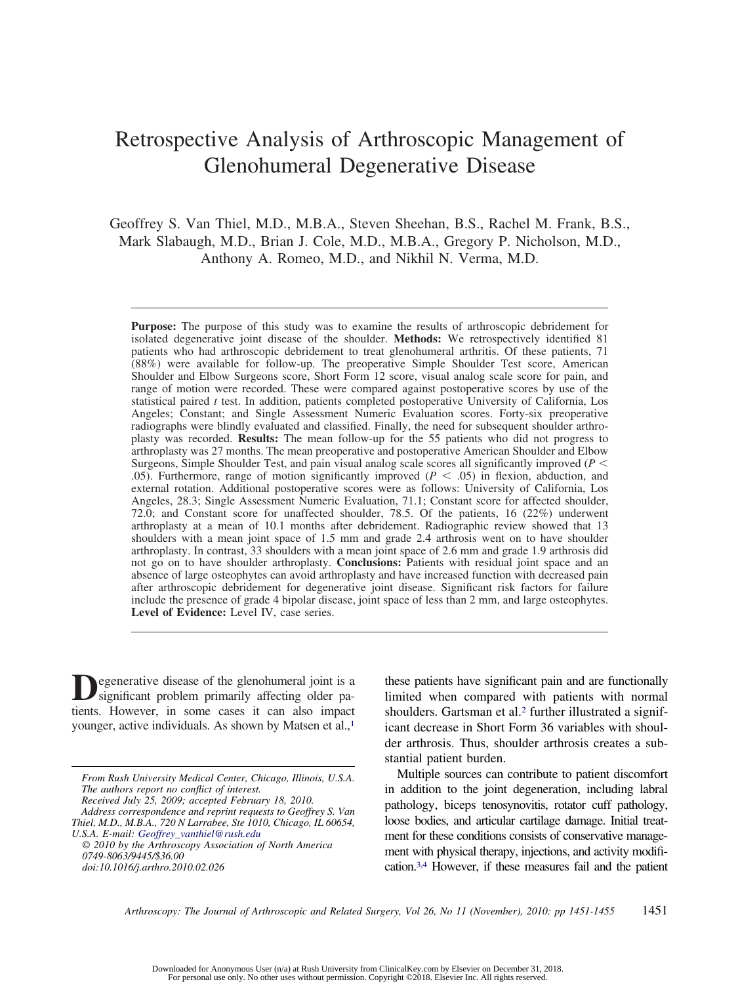# Retrospective Analysis of Arthroscopic Management of Glenohumeral Degenerative Disease

Geoffrey S. Van Thiel, M.D., M.B.A., Steven Sheehan, B.S., Rachel M. Frank, B.S., Mark Slabaugh, M.D., Brian J. Cole, M.D., M.B.A., Gregory P. Nicholson, M.D., Anthony A. Romeo, M.D., and Nikhil N. Verma, M.D.

**Purpose:** The purpose of this study was to examine the results of arthroscopic debridement for isolated degenerative joint disease of the shoulder. **Methods:** We retrospectively identified 81 patients who had arthroscopic debridement to treat glenohumeral arthritis. Of these patients, 71 (88%) were available for follow-up. The preoperative Simple Shoulder Test score, American Shoulder and Elbow Surgeons score, Short Form 12 score, visual analog scale score for pain, and range of motion were recorded. These were compared against postoperative scores by use of the statistical paired *t* test. In addition, patients completed postoperative University of California, Los Angeles; Constant; and Single Assessment Numeric Evaluation scores. Forty-six preoperative radiographs were blindly evaluated and classified. Finally, the need for subsequent shoulder arthroplasty was recorded. **Results:** The mean follow-up for the 55 patients who did not progress to arthroplasty was 27 months. The mean preoperative and postoperative American Shoulder and Elbow Surgeons, Simple Shoulder Test, and pain visual analog scale scores all significantly improved (*P* .05). Furthermore, range of motion significantly improved ( $P < .05$ ) in flexion, abduction, and external rotation. Additional postoperative scores were as follows: University of California, Los Angeles, 28.3; Single Assessment Numeric Evaluation, 71.1; Constant score for affected shoulder, 72.0; and Constant score for unaffected shoulder, 78.5. Of the patients, 16 (22%) underwent arthroplasty at a mean of 10.1 months after debridement. Radiographic review showed that 13 shoulders with a mean joint space of 1.5 mm and grade 2.4 arthrosis went on to have shoulder arthroplasty. In contrast, 33 shoulders with a mean joint space of 2.6 mm and grade 1.9 arthrosis did not go on to have shoulder arthroplasty. **Conclusions:** Patients with residual joint space and an absence of large osteophytes can avoid arthroplasty and have increased function with decreased pain after arthroscopic debridement for degenerative joint disease. Significant risk factors for failure include the presence of grade 4 bipolar disease, joint space of less than 2 mm, and large osteophytes. **Level of Evidence:** Level IV, case series.

**D**egenerative disease of the glenohumeral joint is a significant problem primarily affecting older patients. However, in some cases it can also impact younger, active individuals. As shown by Matsen et al.,<sup>1</sup>

these patients have significant pain and are functionally limited when compared with patients with normal shoulders. Gartsman et al.<sup>2</sup> further illustrated a significant decrease in Short Form 36 variables with shoulder arthrosis. Thus, shoulder arthrosis creates a substantial patient burden.

Multiple sources can contribute to patient discomfort in addition to the joint degeneration, including labral pathology, biceps tenosynovitis, rotator cuff pathology, loose bodies, and articular cartilage damage. Initial treatment for these conditions consists of conservative management with physical therapy, injections, and activity modification.3,4 However, if these measures fail and the patient

*Arthroscopy: The Journal of Arthroscopic and Related Surgery, Vol 26, No 11 (November), 2010: pp 1451-1455* 1451

*From Rush University Medical Center, Chicago, Illinois, U.S.A. The authors report no conflict of interest. Received July 25, 2009; accepted February 18, 2010.*

*Address correspondence and reprint requests to Geoffrey S. Van*

*Thiel, M.D., M.B.A., 720 N Larrabee, Ste 1010, Chicago, IL 60654, U.S.A. E-mail: Geoffrey\_vanthiel@rush.edu*

*<sup>© 2010</sup> by the Arthroscopy Association of North America 0749-8063/9445/\$36.00 doi:10.1016/j.arthro.2010.02.026*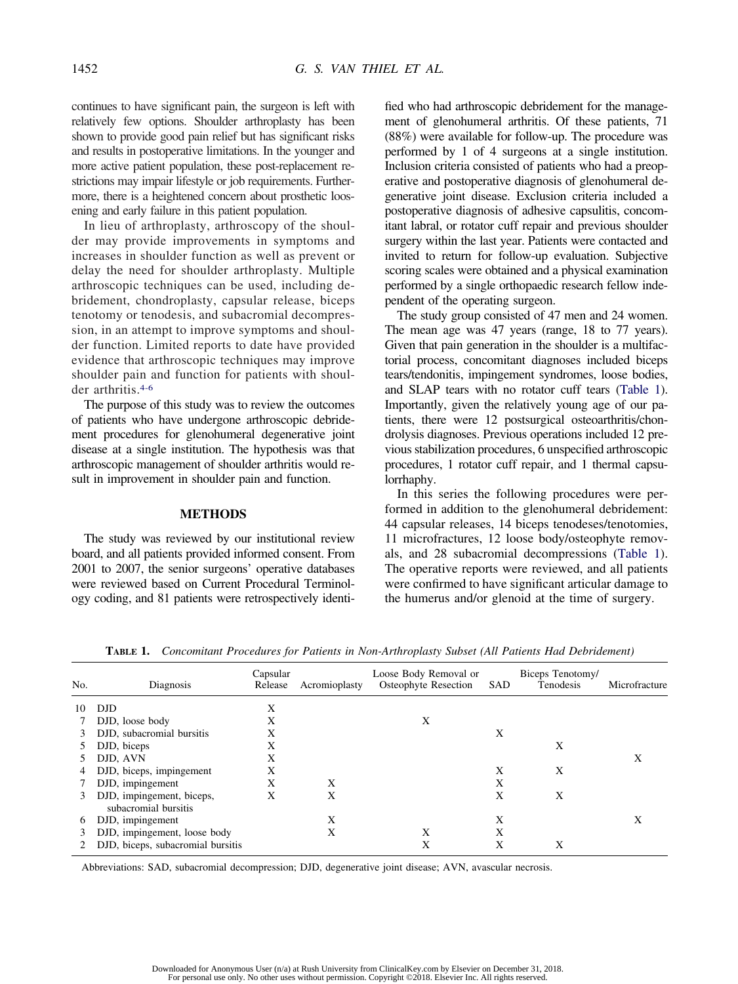continues to have significant pain, the surgeon is left with relatively few options. Shoulder arthroplasty has been shown to provide good pain relief but has significant risks and results in postoperative limitations. In the younger and more active patient population, these post-replacement restrictions may impair lifestyle or job requirements. Furthermore, there is a heightened concern about prosthetic loosening and early failure in this patient population.

In lieu of arthroplasty, arthroscopy of the shoulder may provide improvements in symptoms and increases in shoulder function as well as prevent or delay the need for shoulder arthroplasty. Multiple arthroscopic techniques can be used, including debridement, chondroplasty, capsular release, biceps tenotomy or tenodesis, and subacromial decompression, in an attempt to improve symptoms and shoulder function. Limited reports to date have provided evidence that arthroscopic techniques may improve shoulder pain and function for patients with shoulder arthritis.4-6

The purpose of this study was to review the outcomes of patients who have undergone arthroscopic debridement procedures for glenohumeral degenerative joint disease at a single institution. The hypothesis was that arthroscopic management of shoulder arthritis would result in improvement in shoulder pain and function.

#### **METHODS**

The study was reviewed by our institutional review board, and all patients provided informed consent. From 2001 to 2007, the senior surgeons' operative databases were reviewed based on Current Procedural Terminology coding, and 81 patients were retrospectively identified who had arthroscopic debridement for the management of glenohumeral arthritis. Of these patients, 71 (88%) were available for follow-up. The procedure was performed by 1 of 4 surgeons at a single institution. Inclusion criteria consisted of patients who had a preoperative and postoperative diagnosis of glenohumeral degenerative joint disease. Exclusion criteria included a postoperative diagnosis of adhesive capsulitis, concomitant labral, or rotator cuff repair and previous shoulder surgery within the last year. Patients were contacted and invited to return for follow-up evaluation. Subjective scoring scales were obtained and a physical examination performed by a single orthopaedic research fellow independent of the operating surgeon.

The study group consisted of 47 men and 24 women. The mean age was 47 years (range, 18 to 77 years). Given that pain generation in the shoulder is a multifactorial process, concomitant diagnoses included biceps tears/tendonitis, impingement syndromes, loose bodies, and SLAP tears with no rotator cuff tears (Table 1). Importantly, given the relatively young age of our patients, there were 12 postsurgical osteoarthritis/chondrolysis diagnoses. Previous operations included 12 previous stabilization procedures, 6 unspecified arthroscopic procedures, 1 rotator cuff repair, and 1 thermal capsulorrhaphy.

In this series the following procedures were performed in addition to the glenohumeral debridement: 44 capsular releases, 14 biceps tenodeses/tenotomies, 11 microfractures, 12 loose body/osteophyte removals, and 28 subacromial decompressions (Table 1). The operative reports were reviewed, and all patients were confirmed to have significant articular damage to the humerus and/or glenoid at the time of surgery.

| No. | Diagnosis                                         | Capsular<br>Release | Acromioplasty | Loose Body Removal or<br>Osteophyte Resection | SAD | Biceps Tenotomy/<br>Tenodesis | Microfracture |
|-----|---------------------------------------------------|---------------------|---------------|-----------------------------------------------|-----|-------------------------------|---------------|
| 10  | <b>DJD</b>                                        | X                   |               |                                               |     |                               |               |
|     | DJD, loose body                                   | X                   |               | X                                             |     |                               |               |
|     | DJD, subacromial bursitis                         | X                   |               |                                               | X   |                               |               |
|     | DJD, biceps                                       | X                   |               |                                               |     | X                             |               |
|     | DJD, AVN                                          | Χ                   |               |                                               |     |                               | Χ             |
| 4   | DJD, biceps, impingement                          | X                   |               |                                               | X   | X                             |               |
|     | DJD, impingement                                  | X                   | X             |                                               | X   |                               |               |
| 3.  | DJD, impingement, biceps,<br>subacromial bursitis | X                   | X             |                                               | X   | X                             |               |
| 6   | DJD, impingement                                  |                     | X             |                                               | X   |                               | X             |
|     | DJD, impingement, loose body                      |                     | X             | X                                             | X   |                               |               |
|     | DJD, biceps, subacromial bursitis                 |                     |               | X                                             | X   | X                             |               |

**TABLE 1.** *Concomitant Procedures for Patients in Non-Arthroplasty Subset (All Patients Had Debridement)*

Abbreviations: SAD, subacromial decompression; DJD, degenerative joint disease; AVN, avascular necrosis.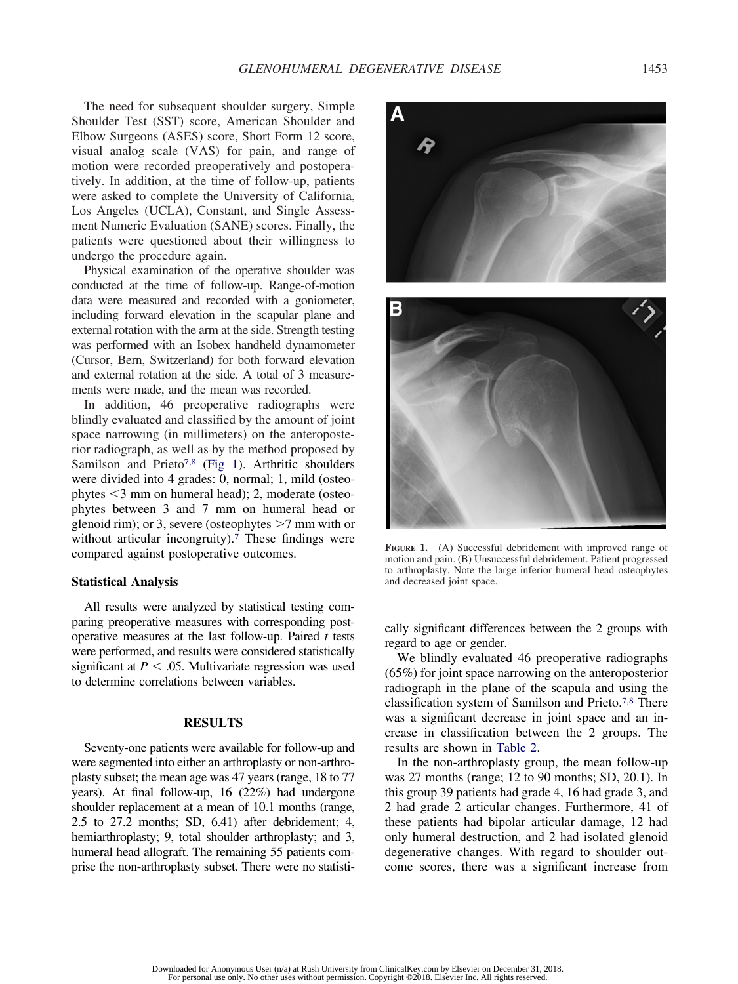The need for subsequent shoulder surgery, Simple Shoulder Test (SST) score, American Shoulder and Elbow Surgeons (ASES) score, Short Form 12 score, visual analog scale (VAS) for pain, and range of motion were recorded preoperatively and postoperatively. In addition, at the time of follow-up, patients were asked to complete the University of California, Los Angeles (UCLA), Constant, and Single Assessment Numeric Evaluation (SANE) scores. Finally, the patients were questioned about their willingness to undergo the procedure again.

Physical examination of the operative shoulder was conducted at the time of follow-up. Range-of-motion data were measured and recorded with a goniometer, including forward elevation in the scapular plane and external rotation with the arm at the side. Strength testing was performed with an Isobex handheld dynamometer (Cursor, Bern, Switzerland) for both forward elevation and external rotation at the side. A total of 3 measurements were made, and the mean was recorded.

In addition, 46 preoperative radiographs were blindly evaluated and classified by the amount of joint space narrowing (in millimeters) on the anteroposterior radiograph, as well as by the method proposed by Samilson and Prieto<sup>7,8</sup> (Fig 1). Arthritic shoulders were divided into 4 grades: 0, normal; 1, mild (osteophytes  $\leq$ 3 mm on humeral head); 2, moderate (osteophytes between 3 and 7 mm on humeral head or glenoid rim); or 3, severe (osteophytes  $>7$  mm with or without articular incongruity).<sup>7</sup> These findings were compared against postoperative outcomes.

### **Statistical Analysis**

All results were analyzed by statistical testing comparing preoperative measures with corresponding postoperative measures at the last follow-up. Paired *t* tests were performed, and results were considered statistically significant at  $P < .05$ . Multivariate regression was used to determine correlations between variables.

#### **RESULTS**

Seventy-one patients were available for follow-up and were segmented into either an arthroplasty or non-arthroplasty subset; the mean age was 47 years (range, 18 to 77 years). At final follow-up, 16 (22%) had undergone shoulder replacement at a mean of 10.1 months (range, 2.5 to 27.2 months; SD, 6.41) after debridement; 4, hemiarthroplasty; 9, total shoulder arthroplasty; and 3, humeral head allograft. The remaining 55 patients comprise the non-arthroplasty subset. There were no statisti-



**FIGURE 1.** (A) Successful debridement with improved range of motion and pain. (B) Unsuccessful debridement. Patient progressed to arthroplasty. Note the large inferior humeral head osteophytes and decreased joint space.

cally significant differences between the 2 groups with regard to age or gender.

We blindly evaluated 46 preoperative radiographs (65%) for joint space narrowing on the anteroposterior radiograph in the plane of the scapula and using the classification system of Samilson and Prieto.7,8 There was a significant decrease in joint space and an increase in classification between the 2 groups. The results are shown in Table 2.

In the non-arthroplasty group, the mean follow-up was 27 months (range; 12 to 90 months; SD, 20.1). In this group 39 patients had grade 4, 16 had grade 3, and 2 had grade 2 articular changes. Furthermore, 41 of these patients had bipolar articular damage, 12 had only humeral destruction, and 2 had isolated glenoid degenerative changes. With regard to shoulder outcome scores, there was a significant increase from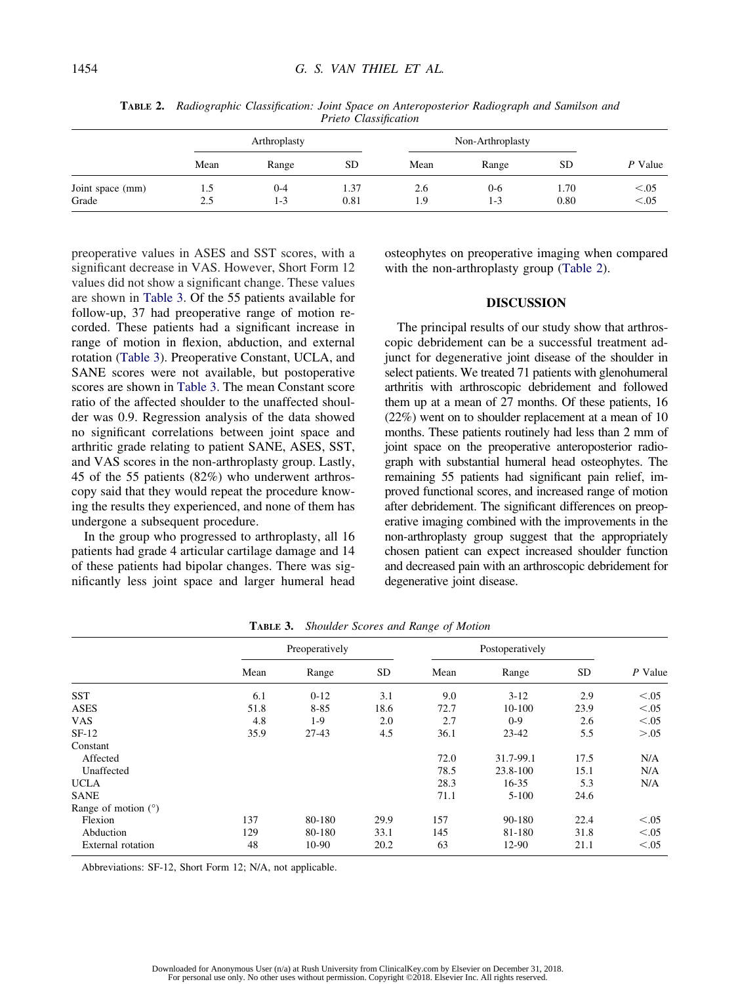|                  | Arthroplasty |       |           | Non-Arthroplasty |         |           |         |
|------------------|--------------|-------|-----------|------------------|---------|-----------|---------|
|                  | Mean         | Range | <b>SD</b> | Mean             | Range   | <b>SD</b> | P Value |
| Joint space (mm) | 1.5          | 0-4   | 1.37      | 2.6              | $0 - 6$ | 1.70      | < 0.05  |
| Grade            | 2.5          | 1-3   | 0.81      | 1.9              | $1 - 3$ | 0.80      | < 0.05  |

**TABLE 2.** *Radiographic Classification: Joint Space on Anteroposterior Radiograph and Samilson and Prieto Classification*

preoperative values in ASES and SST scores, with a significant decrease in VAS. However, Short Form 12 values did not show a significant change. These values are shown in Table 3. Of the 55 patients available for follow-up, 37 had preoperative range of motion recorded. These patients had a significant increase in range of motion in flexion, abduction, and external rotation (Table 3). Preoperative Constant, UCLA, and SANE scores were not available, but postoperative scores are shown in Table 3. The mean Constant score ratio of the affected shoulder to the unaffected shoulder was 0.9. Regression analysis of the data showed no significant correlations between joint space and arthritic grade relating to patient SANE, ASES, SST, and VAS scores in the non-arthroplasty group. Lastly, 45 of the 55 patients (82%) who underwent arthroscopy said that they would repeat the procedure knowing the results they experienced, and none of them has undergone a subsequent procedure.

In the group who progressed to arthroplasty, all 16 patients had grade 4 articular cartilage damage and 14 of these patients had bipolar changes. There was significantly less joint space and larger humeral head osteophytes on preoperative imaging when compared with the non-arthroplasty group (Table 2).

# **DISCUSSION**

The principal results of our study show that arthroscopic debridement can be a successful treatment adjunct for degenerative joint disease of the shoulder in select patients. We treated 71 patients with glenohumeral arthritis with arthroscopic debridement and followed them up at a mean of 27 months. Of these patients, 16 (22%) went on to shoulder replacement at a mean of 10 months. These patients routinely had less than 2 mm of joint space on the preoperative anteroposterior radiograph with substantial humeral head osteophytes. The remaining 55 patients had significant pain relief, improved functional scores, and increased range of motion after debridement. The significant differences on preoperative imaging combined with the improvements in the non-arthroplasty group suggest that the appropriately chosen patient can expect increased shoulder function and decreased pain with an arthroscopic debridement for degenerative joint disease.

|                       | Preoperatively |          |      | Postoperatively |           |           |         |  |
|-----------------------|----------------|----------|------|-----------------|-----------|-----------|---------|--|
|                       | Mean           | Range    | SD   | Mean            | Range     | <b>SD</b> | P Value |  |
| <b>SST</b>            | 6.1            | $0 - 12$ | 3.1  | 9.0             | $3 - 12$  | 2.9       | < 0.05  |  |
| <b>ASES</b>           | 51.8           | $8 - 85$ | 18.6 | 72.7            | 10-100    | 23.9      | < 0.05  |  |
| <b>VAS</b>            | 4.8            | $1-9$    | 2.0  | 2.7             | $0-9$     | 2.6       | < 0.05  |  |
| $SF-12$               | 35.9           | $27-43$  | 4.5  | 36.1            | $23 - 42$ | 5.5       | > 0.05  |  |
| Constant              |                |          |      |                 |           |           |         |  |
| Affected              |                |          |      | 72.0            | 31.7-99.1 | 17.5      | N/A     |  |
| Unaffected            |                |          |      | 78.5            | 23.8-100  | 15.1      | N/A     |  |
| <b>UCLA</b>           |                |          |      | 28.3            | $16 - 35$ | 5.3       | N/A     |  |
| <b>SANE</b>           |                |          |      | 71.1            | $5-100$   | 24.6      |         |  |
| Range of motion $(°)$ |                |          |      |                 |           |           |         |  |
| Flexion               | 137            | 80-180   | 29.9 | 157             | 90-180    | 22.4      | < 0.05  |  |
| Abduction             | 129            | 80-180   | 33.1 | 145             | 81-180    | 31.8      | < 0.05  |  |
| External rotation     | 48             | 10-90    | 20.2 | 63              | 12-90     | 21.1      | < 0.05  |  |

**TABLE 3.** *Shoulder Scores and Range of Motion*

Abbreviations: SF-12, Short Form 12; N/A, not applicable.